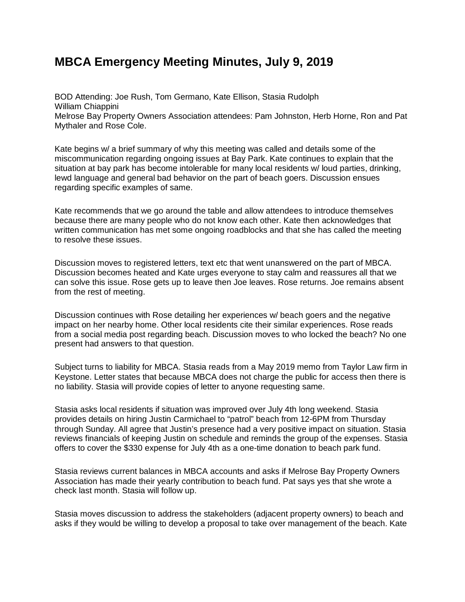## **MBCA [Emergency](http://www.melrosefl.com/blog/mbca-emergency-meeting-minutes-july-9-2019/) Meeting Minutes, July 9, 2019**

BOD Attending: Joe Rush, Tom Germano, Kate Ellison, Stasia Rudolph William Chiappini Melrose Bay Property Owners Association attendees: Pam Johnston, Herb Horne, Ron and Pat Mythaler and Rose Cole.

Kate begins w/ a brief summary of why this meeting was called and details some of the miscommunication regarding ongoing issues at Bay Park. Kate continues to explain that the situation at bay park has become intolerable for many local residents w/ loud parties, drinking, lewd language and general bad behavior on the part of beach goers. Discussion ensues regarding specific examples of same.

Kate recommends that we go around the table and allow attendees to introduce themselves because there are many people who do not know each other. Kate then acknowledges that written communication has met some ongoing roadblocks and that she has called the meeting to resolve these issues.

Discussion moves to registered letters, text etc that went unanswered on the part of MBCA. Discussion becomes heated and Kate urges everyone to stay calm and reassures all that we can solve this issue. Rose gets up to leave then Joe leaves. Rose returns. Joe remains absent from the rest of meeting.

Discussion continues with Rose detailing her experiences w/ beach goers and the negative impact on her nearby home. Other local residents cite their similar experiences. Rose reads from a social media post regarding beach. Discussion moves to who locked the beach? No one present had answers to that question.

Subject turns to liability for MBCA. Stasia reads from a May 2019 memo from Taylor Law firm in Keystone. Letter states that because MBCA does not charge the public for access then there is no liability. Stasia will provide copies of letter to anyone requesting same.

Stasia asks local residents if situation was improved over July 4th long weekend. Stasia provides details on hiring Justin Carmichael to "patrol" beach from 12-6PM from Thursday through Sunday. All agree that Justin's presence had a very positive impact on situation. Stasia reviews financials of keeping Justin on schedule and reminds the group of the expenses. Stasia offers to cover the \$330 expense for July 4th as a one-time donation to beach park fund.

Stasia reviews current balances in MBCA accounts and asks if Melrose Bay Property Owners Association has made their yearly contribution to beach fund. Pat says yes that she wrote a check last month. Stasia will follow up.

Stasia moves discussion to address the stakeholders (adjacent property owners) to beach and asks if they would be willing to develop a proposal to take over management of the beach. Kate